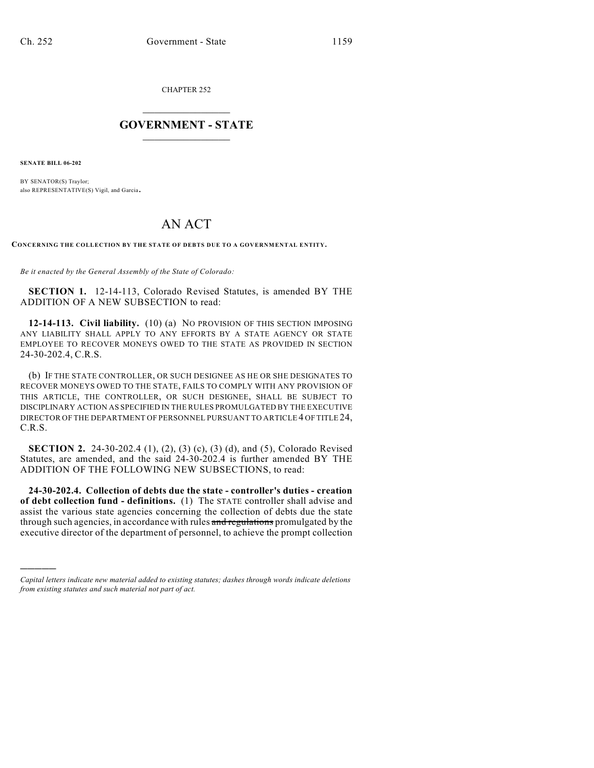CHAPTER 252

## $\overline{\phantom{a}}$  . The set of the set of the set of the set of the set of the set of the set of the set of the set of the set of the set of the set of the set of the set of the set of the set of the set of the set of the set o **GOVERNMENT - STATE**  $\_$

**SENATE BILL 06-202**

)))))

BY SENATOR(S) Traylor; also REPRESENTATIVE(S) Vigil, and Garcia.

## AN ACT

**CONCERNING THE COLLECTION BY THE STATE OF DEBTS DUE TO A GOVERNMENTAL ENTITY.**

*Be it enacted by the General Assembly of the State of Colorado:*

**SECTION 1.** 12-14-113, Colorado Revised Statutes, is amended BY THE ADDITION OF A NEW SUBSECTION to read:

**12-14-113. Civil liability.** (10) (a) NO PROVISION OF THIS SECTION IMPOSING ANY LIABILITY SHALL APPLY TO ANY EFFORTS BY A STATE AGENCY OR STATE EMPLOYEE TO RECOVER MONEYS OWED TO THE STATE AS PROVIDED IN SECTION 24-30-202.4, C.R.S.

(b) IF THE STATE CONTROLLER, OR SUCH DESIGNEE AS HE OR SHE DESIGNATES TO RECOVER MONEYS OWED TO THE STATE, FAILS TO COMPLY WITH ANY PROVISION OF THIS ARTICLE, THE CONTROLLER, OR SUCH DESIGNEE, SHALL BE SUBJECT TO DISCIPLINARY ACTION AS SPECIFIED IN THE RULES PROMULGATED BY THE EXECUTIVE DIRECTOR OF THE DEPARTMENT OF PERSONNEL PURSUANT TO ARTICLE 4 OF TITLE 24, C.R.S.

**SECTION 2.** 24-30-202.4 (1), (2), (3) (c), (3) (d), and (5), Colorado Revised Statutes, are amended, and the said 24-30-202.4 is further amended BY THE ADDITION OF THE FOLLOWING NEW SUBSECTIONS, to read:

**24-30-202.4. Collection of debts due the state - controller's duties - creation of debt collection fund - definitions.** (1) The STATE controller shall advise and assist the various state agencies concerning the collection of debts due the state through such agencies, in accordance with rules and regulations promulgated by the executive director of the department of personnel, to achieve the prompt collection

*Capital letters indicate new material added to existing statutes; dashes through words indicate deletions from existing statutes and such material not part of act.*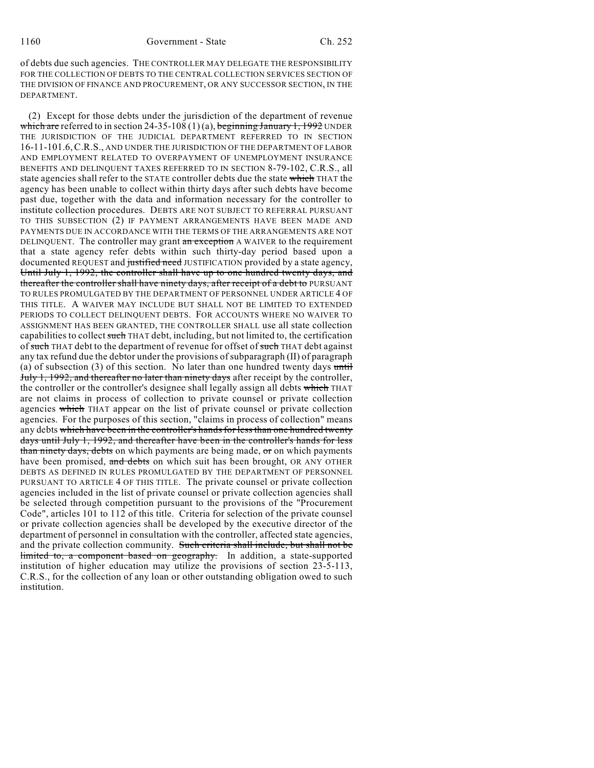of debts due such agencies. THE CONTROLLER MAY DELEGATE THE RESPONSIBILITY FOR THE COLLECTION OF DEBTS TO THE CENTRAL COLLECTION SERVICES SECTION OF THE DIVISION OF FINANCE AND PROCUREMENT, OR ANY SUCCESSOR SECTION, IN THE DEPARTMENT.

(2) Except for those debts under the jurisdiction of the department of revenue which are referred to in section 24-35-108  $(1)(a)$ , beginning January 1, 1992 UNDER THE JURISDICTION OF THE JUDICIAL DEPARTMENT REFERRED TO IN SECTION 16-11-101.6,C.R.S., AND UNDER THE JURISDICTION OF THE DEPARTMENT OF LABOR AND EMPLOYMENT RELATED TO OVERPAYMENT OF UNEMPLOYMENT INSURANCE BENEFITS AND DELINQUENT TAXES REFERRED TO IN SECTION 8-79-102, C.R.S., all state agencies shall refer to the STATE controller debts due the state which THAT the agency has been unable to collect within thirty days after such debts have become past due, together with the data and information necessary for the controller to institute collection procedures. DEBTS ARE NOT SUBJECT TO REFERRAL PURSUANT TO THIS SUBSECTION (2) IF PAYMENT ARRANGEMENTS HAVE BEEN MADE AND PAYMENTS DUE IN ACCORDANCE WITH THE TERMS OF THE ARRANGEMENTS ARE NOT DELINQUENT. The controller may grant an exception A WAIVER to the requirement that a state agency refer debts within such thirty-day period based upon a documented REQUEST and justified need JUSTIFICATION provided by a state agency, Until July 1, 1992, the controller shall have up to one hundred twenty days, and thereafter the controller shall have ninety days, after receipt of a debt to PURSUANT TO RULES PROMULGATED BY THE DEPARTMENT OF PERSONNEL UNDER ARTICLE 4 OF THIS TITLE. A WAIVER MAY INCLUDE BUT SHALL NOT BE LIMITED TO EXTENDED PERIODS TO COLLECT DELINQUENT DEBTS. FOR ACCOUNTS WHERE NO WAIVER TO ASSIGNMENT HAS BEEN GRANTED, THE CONTROLLER SHALL use all state collection capabilities to collect such THAT debt, including, but not limited to, the certification of such THAT debt to the department of revenue for offset of such THAT debt against any tax refund due the debtor under the provisions of subparagraph (II) of paragraph (a) of subsection  $(3)$  of this section. No later than one hundred twenty days until July 1, 1992, and thereafter no later than ninety days after receipt by the controller, the controller or the controller's designee shall legally assign all debts which THAT are not claims in process of collection to private counsel or private collection agencies which THAT appear on the list of private counsel or private collection agencies. For the purposes of this section, "claims in process of collection" means any debts which have been in the controller's hands for less than one hundred twenty days until July 1, 1992, and thereafter have been in the controller's hands for less than ninety days, debts on which payments are being made, or on which payments have been promised, and debts on which suit has been brought, OR ANY OTHER DEBTS AS DEFINED IN RULES PROMULGATED BY THE DEPARTMENT OF PERSONNEL PURSUANT TO ARTICLE 4 OF THIS TITLE. The private counsel or private collection agencies included in the list of private counsel or private collection agencies shall be selected through competition pursuant to the provisions of the "Procurement Code", articles 101 to 112 of this title. Criteria for selection of the private counsel or private collection agencies shall be developed by the executive director of the department of personnel in consultation with the controller, affected state agencies, and the private collection community. Such criteria shall include, but shall not be limited to, a component based on geography. In addition, a state-supported institution of higher education may utilize the provisions of section 23-5-113, C.R.S., for the collection of any loan or other outstanding obligation owed to such institution.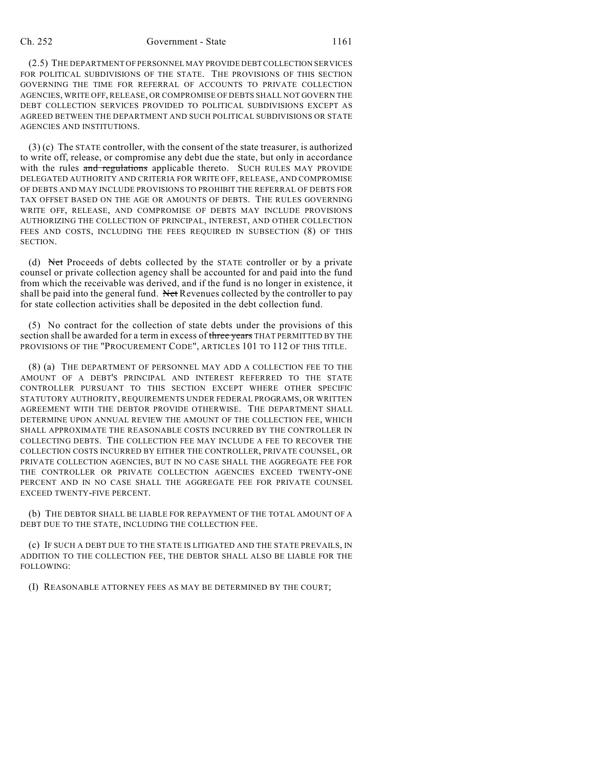## Ch. 252 Government - State 1161

(2.5) THE DEPARTMENT OF PERSONNEL MAY PROVIDE DEBT COLLECTION SERVICES FOR POLITICAL SUBDIVISIONS OF THE STATE. THE PROVISIONS OF THIS SECTION GOVERNING THE TIME FOR REFERRAL OF ACCOUNTS TO PRIVATE COLLECTION AGENCIES, WRITE OFF, RELEASE, OR COMPROMISE OF DEBTS SHALL NOT GOVERN THE DEBT COLLECTION SERVICES PROVIDED TO POLITICAL SUBDIVISIONS EXCEPT AS AGREED BETWEEN THE DEPARTMENT AND SUCH POLITICAL SUBDIVISIONS OR STATE AGENCIES AND INSTITUTIONS.

(3) (c) The STATE controller, with the consent of the state treasurer, is authorized to write off, release, or compromise any debt due the state, but only in accordance with the rules and regulations applicable thereto. SUCH RULES MAY PROVIDE DELEGATED AUTHORITY AND CRITERIA FOR WRITE OFF, RELEASE, AND COMPROMISE OF DEBTS AND MAY INCLUDE PROVISIONS TO PROHIBIT THE REFERRAL OF DEBTS FOR TAX OFFSET BASED ON THE AGE OR AMOUNTS OF DEBTS. THE RULES GOVERNING WRITE OFF, RELEASE, AND COMPROMISE OF DEBTS MAY INCLUDE PROVISIONS AUTHORIZING THE COLLECTION OF PRINCIPAL, INTEREST, AND OTHER COLLECTION FEES AND COSTS, INCLUDING THE FEES REQUIRED IN SUBSECTION (8) OF THIS SECTION.

(d) Net Proceeds of debts collected by the STATE controller or by a private counsel or private collection agency shall be accounted for and paid into the fund from which the receivable was derived, and if the fund is no longer in existence, it shall be paid into the general fund. Net Revenues collected by the controller to pay for state collection activities shall be deposited in the debt collection fund.

(5) No contract for the collection of state debts under the provisions of this section shall be awarded for a term in excess of three years THAT PERMITTED BY THE PROVISIONS OF THE "PROCUREMENT CODE", ARTICLES 101 TO 112 OF THIS TITLE.

(8) (a) THE DEPARTMENT OF PERSONNEL MAY ADD A COLLECTION FEE TO THE AMOUNT OF A DEBT'S PRINCIPAL AND INTEREST REFERRED TO THE STATE CONTROLLER PURSUANT TO THIS SECTION EXCEPT WHERE OTHER SPECIFIC STATUTORY AUTHORITY, REQUIREMENTS UNDER FEDERAL PROGRAMS, OR WRITTEN AGREEMENT WITH THE DEBTOR PROVIDE OTHERWISE. THE DEPARTMENT SHALL DETERMINE UPON ANNUAL REVIEW THE AMOUNT OF THE COLLECTION FEE, WHICH SHALL APPROXIMATE THE REASONABLE COSTS INCURRED BY THE CONTROLLER IN COLLECTING DEBTS. THE COLLECTION FEE MAY INCLUDE A FEE TO RECOVER THE COLLECTION COSTS INCURRED BY EITHER THE CONTROLLER, PRIVATE COUNSEL, OR PRIVATE COLLECTION AGENCIES, BUT IN NO CASE SHALL THE AGGREGATE FEE FOR THE CONTROLLER OR PRIVATE COLLECTION AGENCIES EXCEED TWENTY-ONE PERCENT AND IN NO CASE SHALL THE AGGREGATE FEE FOR PRIVATE COUNSEL EXCEED TWENTY-FIVE PERCENT.

(b) THE DEBTOR SHALL BE LIABLE FOR REPAYMENT OF THE TOTAL AMOUNT OF A DEBT DUE TO THE STATE, INCLUDING THE COLLECTION FEE.

(c) IF SUCH A DEBT DUE TO THE STATE IS LITIGATED AND THE STATE PREVAILS, IN ADDITION TO THE COLLECTION FEE, THE DEBTOR SHALL ALSO BE LIABLE FOR THE FOLLOWING:

(I) REASONABLE ATTORNEY FEES AS MAY BE DETERMINED BY THE COURT;